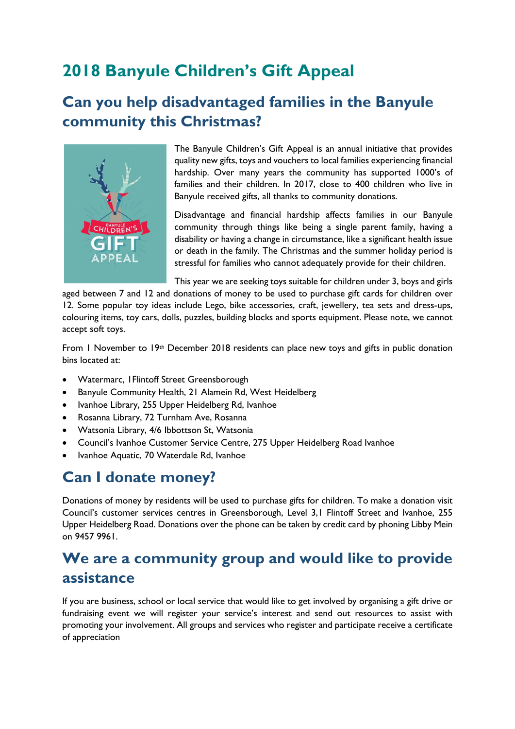# **2018 Banyule Children's Gift Appeal**

### **Can you help disadvantaged families in the Banyule community this Christmas?**



The Banyule Children's Gift Appeal is an annual initiative that provides quality new gifts, toys and vouchers to local families experiencing financial hardship. Over many years the community has supported 1000's of families and their children. In 2017, close to 400 children who live in Banyule received gifts, all thanks to community donations.

Disadvantage and financial hardship affects families in our Banyule community through things like being a single parent family, having a disability or having a change in circumstance, like a significant health issue or death in the family. The Christmas and the summer holiday period is stressful for families who cannot adequately provide for their children.

This year we are seeking toys suitable for children under 3, boys and girls

aged between 7 and 12 and donations of money to be used to purchase gift cards for children over 12. Some popular toy ideas include Lego, bike accessories, craft, jewellery, tea sets and dress-ups, colouring items, toy cars, dolls, puzzles, building blocks and sports equipment. Please note, we cannot accept soft toys.

From 1 November to 19th December 2018 residents can place new toys and gifts in public donation bins located at:

- Watermarc, 1Flintoff Street Greensborough
- Banyule Community Health, 21 Alamein Rd, West Heidelberg
- Ivanhoe Library, 255 Upper Heidelberg Rd, Ivanhoe
- Rosanna Library, 72 Turnham Ave, Rosanna
- Watsonia Library, 4/6 Ibbottson St, Watsonia
- Council's Ivanhoe Customer Service Centre, 275 Upper Heidelberg Road Ivanhoe
- Ivanhoe Aquatic, 70 Waterdale Rd, Ivanhoe

#### **Can I donate money?**

Donations of money by residents will be used to purchase gifts for children. To make a donation visit Council's customer services centres in Greensborough, Level 3,1 Flintoff Street and Ivanhoe, 255 Upper Heidelberg Road. Donations over the phone can be taken by credit card by phoning Libby Mein on 9457 9961.

## **We are a community group and would like to provide assistance**

If you are business, school or local service that would like to get involved by organising a gift drive or fundraising event we will register your service's interest and send out resources to assist with promoting your involvement. All groups and services who register and participate receive a certificate of appreciation